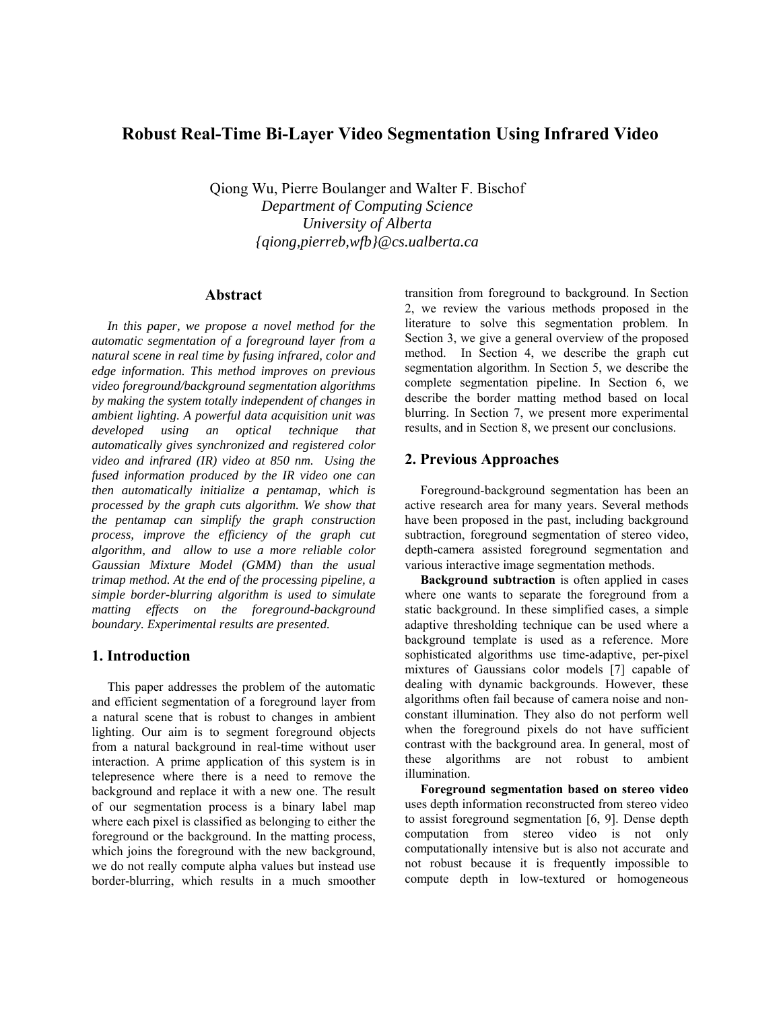# **Robust Real-Time Bi-Layer Video Segmentation Using Infrared Video**

Qiong Wu, Pierre Boulanger and Walter F. Bischof *Department of Computing Science University of Alberta [{qiong,pierreb,wfb}@cs.ualberta.ca](mailto:qiong@cs.ualberta.ca)* 

# **Abstract**

*In this paper, we propose a novel method for the automatic segmentation of a foreground layer from a natural scene in real time by fusing infrared, color and edge information. This method improves on previous video foreground/background segmentation algorithms by making the system totally independent of changes in ambient lighting. A powerful data acquisition unit was developed using an optical technique that automatically gives synchronized and registered color video and infrared (IR) video at 850 nm. Using the fused information produced by the IR video one can then automatically initialize a pentamap, which is processed by the graph cuts algorithm. We show that the pentamap can simplify the graph construction process, improve the efficiency of the graph cut algorithm, and allow to use a more reliable color Gaussian Mixture Model (GMM) than the usual trimap method. At the end of the processing pipeline, a simple border-blurring algorithm is used to simulate matting effects on the foreground-background boundary. Experimental results are presented.* 

### **1. Introduction**

This paper addresses the problem of the automatic and efficient segmentation of a foreground layer from a natural scene that is robust to changes in ambient lighting. Our aim is to segment foreground objects from a natural background in real-time without user interaction. A prime application of this system is in telepresence where there is a need to remove the background and replace it with a new one. The result of our segmentation process is a binary label map where each pixel is classified as belonging to either the foreground or the background. In the matting process, which joins the foreground with the new background, we do not really compute alpha values but instead use border-blurring, which results in a much smoother

transition from foreground to background. In Section 2, we review the various methods proposed in the literature to solve this segmentation problem. In Section 3, we give a general overview of the proposed method. In Section 4, we describe the graph cut segmentation algorithm. In Section 5, we describe the complete segmentation pipeline. In Section 6, we describe the border matting method based on local blurring. In Section 7, we present more experimental results, and in Section 8, we present our conclusions.

### **2. Previous Approaches**

Foreground-background segmentation has been an active research area for many years. Several methods have been proposed in the past, including background subtraction, foreground segmentation of stereo video, depth-camera assisted foreground segmentation and various interactive image segmentation methods.

**Background subtraction** is often applied in cases where one wants to separate the foreground from a static background. In these simplified cases, a simple adaptive thresholding technique can be used where a background template is used as a reference. More sophisticated algorithms use time-adaptive, per-pixel mixtures of Gaussians color models [7] capable of dealing with dynamic backgrounds. However, these algorithms often fail because of camera noise and nonconstant illumination. They also do not perform well when the foreground pixels do not have sufficient contrast with the background area. In general, most of these algorithms are not robust to ambient illumination.

**Foreground segmentation based on stereo video**  uses depth information reconstructed from stereo video to assist foreground segmentation [6, 9]. Dense depth computation from stereo video is not only computationally intensive but is also not accurate and not robust because it is frequently impossible to compute depth in low-textured or homogeneous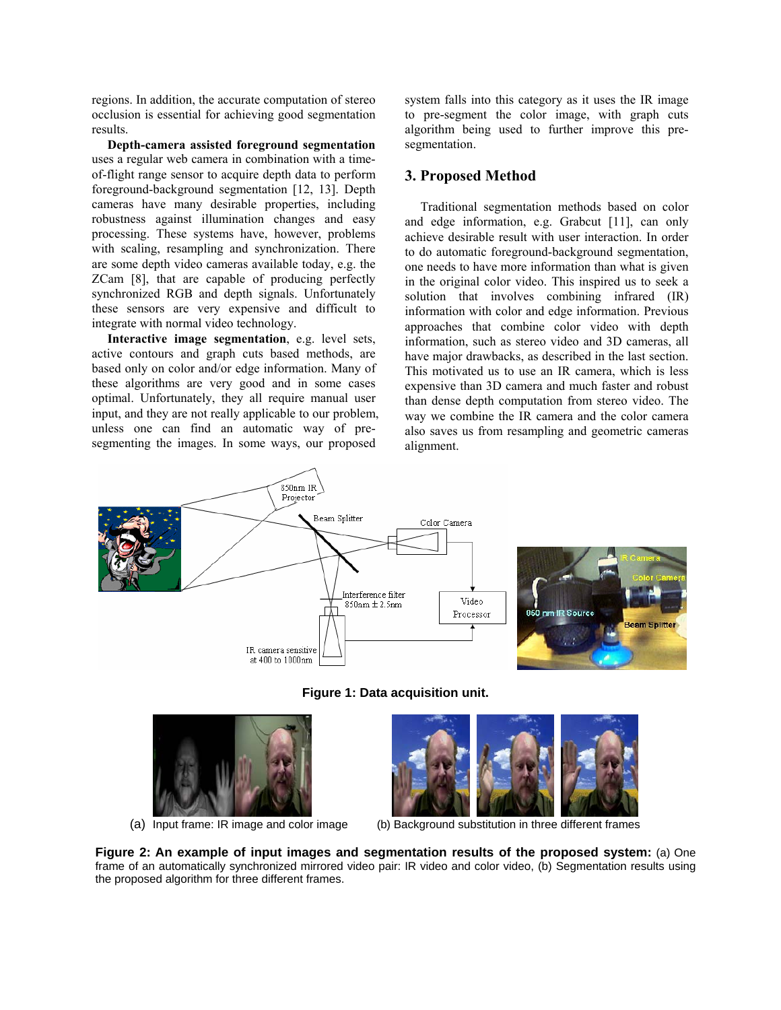regions. In addition, the accurate computation of stereo occlusion is essential for achieving good segmentation results.

**Depth-camera assisted foreground segmentation**  uses a regular web camera in combination with a timeof-flight range sensor to acquire depth data to perform foreground-background segmentation [12, 13]. Depth cameras have many desirable properties, including robustness against illumination changes and easy processing. These systems have, however, problems with scaling, resampling and synchronization. There are some depth video cameras available today, e.g. the ZCam [8], that are capable of producing perfectly synchronized RGB and depth signals. Unfortunately these sensors are very expensive and difficult to integrate with normal video technology.

**Interactive image segmentation**, e.g. level sets, active contours and graph cuts based methods, are based only on color and/or edge information. Many of these algorithms are very good and in some cases optimal. Unfortunately, they all require manual user input, and they are not really applicable to our problem, unless one can find an automatic way of presegmenting the images. In some ways, our proposed

system falls into this category as it uses the IR image to pre-segment the color image, with graph cuts algorithm being used to further improve this presegmentation.

### **3. Proposed Method**

Traditional segmentation methods based on color and edge information, e.g. Grabcut [11], can only achieve desirable result with user interaction. In order to do automatic foreground-background segmentation, one needs to have more information than what is given in the original color video. This inspired us to seek a solution that involves combining infrared (IR) information with color and edge information. Previous approaches that combine color video with depth information, such as stereo video and 3D cameras, all have major drawbacks, as described in the last section. This motivated us to use an IR camera, which is less expensive than 3D camera and much faster and robust than dense depth computation from stereo video. The way we combine the IR camera and the color camera also saves us from resampling and geometric cameras alignment.



**Figure 1: Data acquisition unit.** 





(a) Input frame: IR image and color image (b) Background substitution in three different frames

**Figure 2: An example of input images and segmentation results of the proposed system:** (a) One frame of an automatically synchronized mirrored video pair: IR video and color video, (b) Segmentation results using the proposed algorithm for three different frames.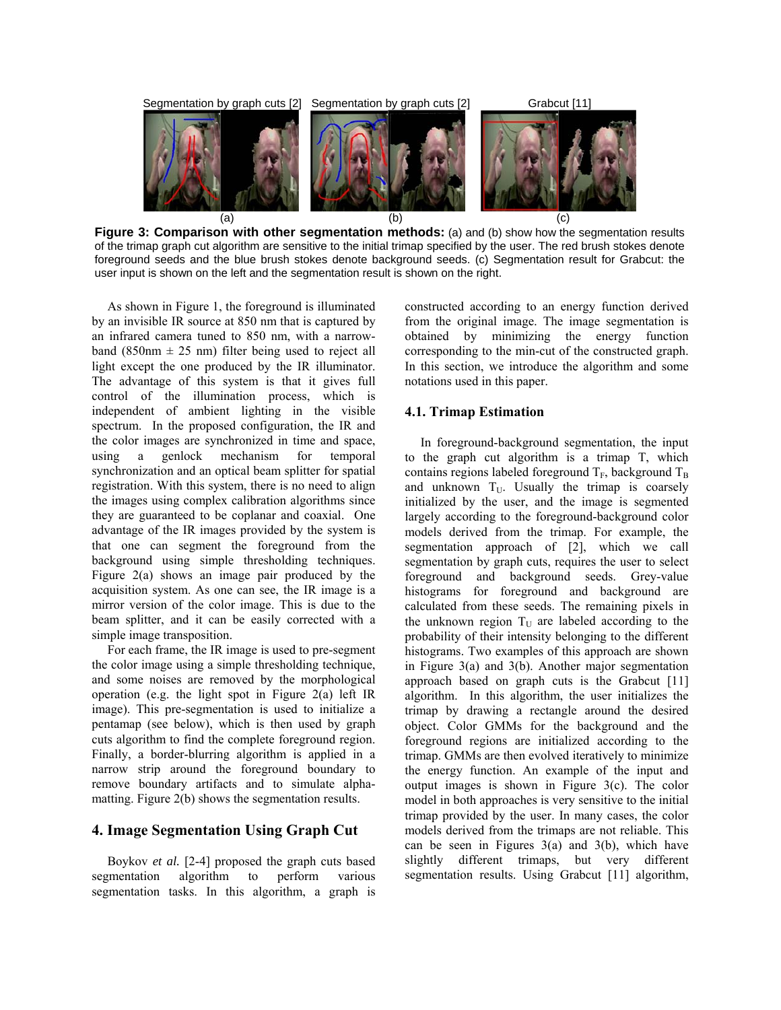

**Figure 3: Comparison with other segmentation methods:** (a) and (b) show how the segmentation results of the trimap graph cut algorithm are sensitive to the initial trimap specified by the user. The red brush stokes denote foreground seeds and the blue brush stokes denote background seeds. (c) Segmentation result for Grabcut: the user input is shown on the left and the segmentation result is shown on the right.

As shown in Figure 1, the foreground is illuminated by an invisible IR source at 850 nm that is captured by an infrared camera tuned to 850 nm, with a narrowband (850nm  $\pm$  25 nm) filter being used to reject all light except the one produced by the IR illuminator. The advantage of this system is that it gives full control of the illumination process, which is independent of ambient lighting in the visible spectrum. In the proposed configuration, the IR and the color images are synchronized in time and space, using a genlock mechanism for temporal synchronization and an optical beam splitter for spatial registration. With this system, there is no need to align the images using complex calibration algorithms since they are guaranteed to be coplanar and coaxial. One advantage of the IR images provided by the system is that one can segment the foreground from the background using simple thresholding techniques. Figure 2(a) shows an image pair produced by the acquisition system. As one can see, the IR image is a mirror version of the color image. This is due to the beam splitter, and it can be easily corrected with a simple image transposition.

For each frame, the IR image is used to pre-segment the color image using a simple thresholding technique, and some noises are removed by the morphological operation (e.g. the light spot in Figure 2(a) left IR image). This pre-segmentation is used to initialize a pentamap (see below), which is then used by graph cuts algorithm to find the complete foreground region. Finally, a border-blurring algorithm is applied in a narrow strip around the foreground boundary to remove boundary artifacts and to simulate alphamatting. Figure 2(b) shows the segmentation results.

### **4. Image Segmentation Using Graph Cut**

Boykov *et al.* [2-4] proposed the graph cuts based segmentation algorithm to perform various segmentation tasks. In this algorithm, a graph is constructed according to an energy function derived from the original image. The image segmentation is obtained by minimizing the energy function corresponding to the min-cut of the constructed graph. In this section, we introduce the algorithm and some notations used in this paper.

#### **4.1. Trimap Estimation**

In foreground-background segmentation, the input to the graph cut algorithm is a trimap T, which contains regions labeled foreground  $T_F$ , background  $T_B$ and unknown  $T_U$ . Usually the trimap is coarsely initialized by the user, and the image is segmented largely according to the foreground-background color models derived from the trimap. For example, the segmentation approach of [2], which we call segmentation by graph cuts, requires the user to select foreground and background seeds. Grey-value histograms for foreground and background are calculated from these seeds. The remaining pixels in the unknown region  $T_U$  are labeled according to the probability of their intensity belonging to the different histograms. Two examples of this approach are shown in Figure 3(a) and 3(b). Another major segmentation approach based on graph cuts is the Grabcut [11] algorithm. In this algorithm, the user initializes the trimap by drawing a rectangle around the desired object. Color GMMs for the background and the foreground regions are initialized according to the trimap. GMMs are then evolved iteratively to minimize the energy function. An example of the input and output images is shown in Figure 3(c). The color model in both approaches is very sensitive to the initial trimap provided by the user. In many cases, the color models derived from the trimaps are not reliable. This can be seen in Figures  $3(a)$  and  $3(b)$ , which have slightly different trimaps, but very different segmentation results. Using Grabcut [11] algorithm,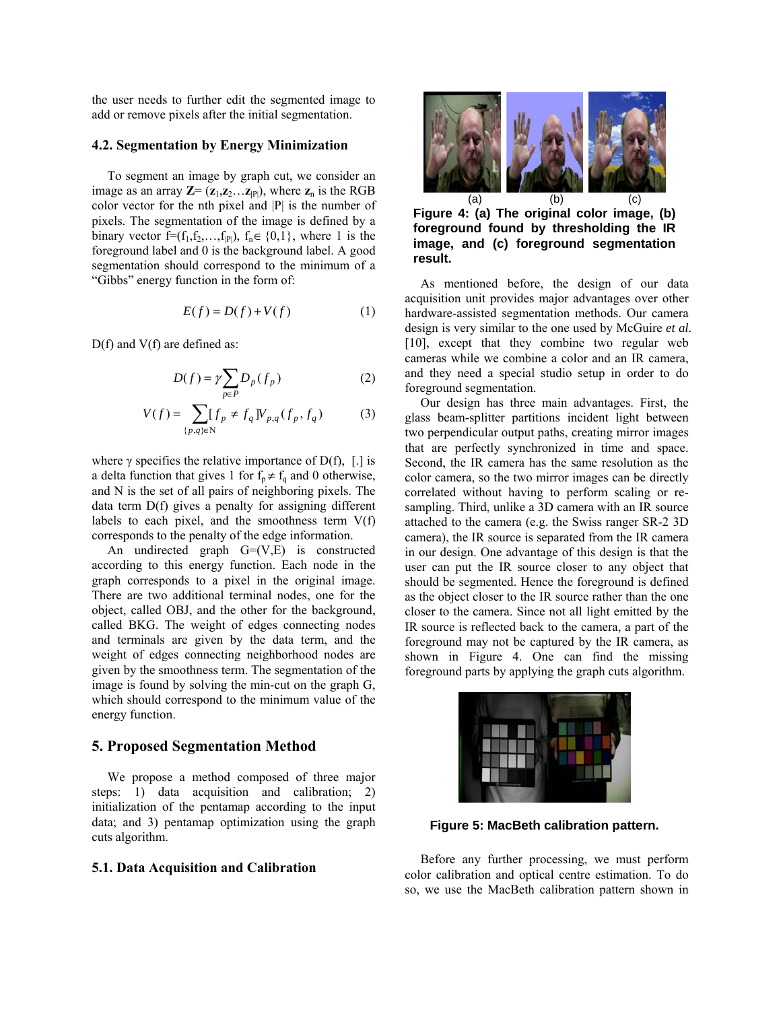the user needs to further edit the segmented image to add or remove pixels after the initial segmentation.

#### **4.2. Segmentation by Energy Minimization**

To segment an image by graph cut, we consider an image as an array  $\mathbf{Z} = (\mathbf{z}_1, \mathbf{z}_2, \dots, \mathbf{z}_{|P|})$ , where  $\mathbf{z}_n$  is the RGB color vector for the nth pixel and |P| is the number of pixels. The segmentation of the image is defined by a binary vector f= $(f_1, f_2, \ldots, f_{|P|}), f_n \in \{0,1\}$ , where 1 is the foreground label and 0 is the background label. A good segmentation should correspond to the minimum of a "Gibbs" energy function in the form of:

$$
E(f) = D(f) + V(f)
$$
 (1)

D(f) and V(f) are defined as:

$$
D(f) = \gamma \sum_{p \in P} D_p(f_p) \tag{2}
$$

$$
V(f) = \sum_{\{p,q\} \in \mathbb{N}} [f_p \neq f_q] V_{p,q}(f_p, f_q)
$$
 (3)

where  $\gamma$  specifies the relative importance of D(f), [.] is a delta function that gives 1 for  $f_p \neq f_q$  and 0 otherwise, and N is the set of all pairs of neighboring pixels. The data term D(f) gives a penalty for assigning different labels to each pixel, and the smoothness term  $V(f)$ corresponds to the penalty of the edge information.

An undirected graph  $G=(V,E)$  is constructed according to this energy function. Each node in the graph corresponds to a pixel in the original image. There are two additional terminal nodes, one for the object, called OBJ, and the other for the background, called BKG. The weight of edges connecting nodes and terminals are given by the data term, and the weight of edges connecting neighborhood nodes are given by the smoothness term. The segmentation of the image is found by solving the min-cut on the graph G, which should correspond to the minimum value of the energy function.

# **5. Proposed Segmentation Method**

We propose a method composed of three major steps: 1) data acquisition and calibration; 2) initialization of the pentamap according to the input data; and 3) pentamap optimization using the graph cuts algorithm.

#### **5.1. Data Acquisition and Calibration**



**Figure 4: (a) The original color image, (b) foreground found by thresholding the IR image, and (c) foreground segmentation result.** 

 $D(f) = \gamma \sum D_p(f_p)$  (2) and they need a special studio setup in order to do As mentioned before, the design of our data acquisition unit provides major advantages over other hardware-assisted segmentation methods. Our camera design is very similar to the one used by McGuire *et al.* [10], except that they combine two regular web cameras while we combine a color and an IR camera, foreground segmentation.

> Our design has three main advantages. First, the glass beam-splitter partitions incident light between two perpendicular output paths, creating mirror images that are perfectly synchronized in time and space. Second, the IR camera has the same resolution as the color camera, so the two mirror images can be directly correlated without having to perform scaling or resampling. Third, unlike a 3D camera with an IR source attached to the camera (e.g. the Swiss ranger SR-2 3D camera), the IR source is separated from the IR camera in our design. One advantage of this design is that the user can put the IR source closer to any object that should be segmented. Hence the foreground is defined as the object closer to the IR source rather than the one closer to the camera. Since not all light emitted by the IR source is reflected back to the camera, a part of the foreground may not be captured by the IR camera, as shown in Figure 4. One can find the missing foreground parts by applying the graph cuts algorithm.



**Figure 5: MacBeth calibration pattern.** 

Before any further processing, we must perform color calibration and optical centre estimation. To do so, we use the MacBeth calibration pattern shown in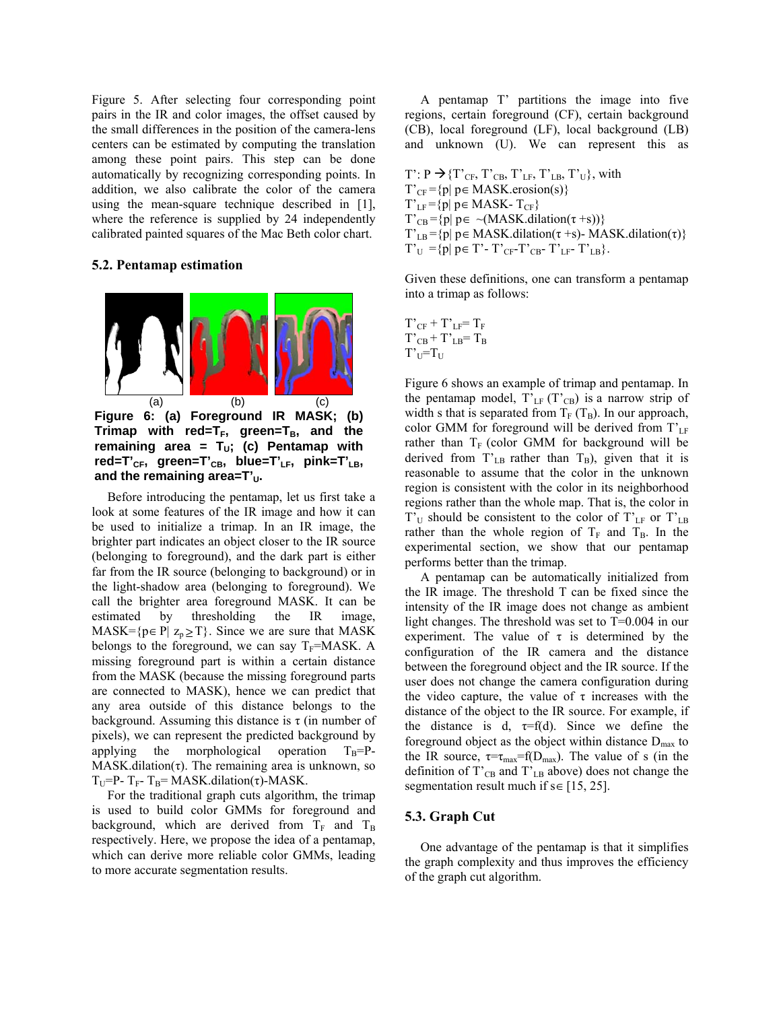Figure 5. After selecting four corresponding point pairs in the IR and color images, the offset caused by the small differences in the position of the camera-lens centers can be estimated by computing the translation among these point pairs. This step can be done automatically by recognizing corresponding points. In addition, we also calibrate the color of the camera using the mean-square technique described in [1], where the reference is supplied by 24 independently calibrated painted squares of the Mac Beth color chart.

#### **5.2. Pentamap estimation**



**Figure 6: (a) Foreground IR MASK; (b)**  Trimap with red=T<sub>F</sub>, green=T<sub>B</sub>, and the remaining area =  $T_{U}$ ; (c) Pentamap with red=T'<sub>CF</sub>, green=T'<sub>CB</sub>, blue=T'<sub>LF</sub>, pink=T'<sub>LB</sub>, and the remaining area=T'<sub>U</sub>.

Before introducing the pentamap, let us first take a look at some features of the IR image and how it can be used to initialize a trimap. In an IR image, the brighter part indicates an object closer to the IR source (belonging to foreground), and the dark part is either far from the IR source (belonging to background) or in the light-shadow area (belonging to foreground). We call the brighter area foreground MASK. It can be estimated by thresholding the IR image, MASK= $\{p \in P | Z_p \geq T\}$ . Since we are sure that MASK belongs to the foreground, we can say  $T_F=MAXK$ . A missing foreground part is within a certain distance from the MASK (because the missing foreground parts are connected to MASK), hence we can predict that any area outside of this distance belongs to the background. Assuming this distance is  $\tau$  (in number of pixels), we can represent the predicted background by applying the morphological operation  $T_B = P MASK.dilation(\tau)$ . The remaining area is unknown, so T<sub>U</sub>=P- T<sub>F</sub>-T<sub>B</sub>= MASK.dilation(τ)-MASK.

For the traditional graph cuts algorithm, the trimap is used to build color GMMs for foreground and background, which are derived from  $T_F$  and  $T_B$ respectively. Here, we propose the idea of a pentamap, which can derive more reliable color GMMs, leading to more accurate segmentation results.

A pentamap T' partitions the image into five regions, certain foreground (CF), certain background (CB), local foreground (LF), local background (LB) and unknown (U). We can represent this as

 $T' : P \rightarrow \{T'_{CF}, T'_{CB}, T'_{LF}, T'_{LB}, T'_{U}\}$ , with  $T'_{CF} = {p | p \in MAXK.erosion(s)}$  $T'_{LF} = {p | p \in MASK-T_{CF}}$  $T'_{CB} = {p | p \in \neg (MASK\_dilation(\tau + s))}$  $T'_{LB} = {p | p \in MAXK.dilation(\tau + s)}$ - MASK.dilation(τ)}  $T'_{U} = \{p | p \in T' - T'_{CF} - T'_{CB} - T'_{LF} - T'_{LB}\}.$ 

Given these definitions, one can transform a pentamap into a trimap as follows:

$$
\begin{array}{l} T'_{CF}+T'_{LF}\!\! = T_F \\ T'_{CB} \!+ T'_{LB}\!\! = T_B \\ T'_{U}\!\! =\!\! T_U \end{array}
$$

Figure 6 shows an example of trimap and pentamap. In the pentamap model,  $T'_{LF}$  (T'<sub>CB</sub>) is a narrow strip of width s that is separated from  $T_F$  ( $T_B$ ). In our approach, color GMM for foreground will be derived from  $T'_{LF}$ rather than  $T_F$  (color GMM for background will be derived from  $T'_{LB}$  rather than  $T_B$ ), given that it is reasonable to assume that the color in the unknown region is consistent with the color in its neighborhood regions rather than the whole map. That is, the color in  $T_U$  should be consistent to the color of  $T_{LF}$  or  $T_{LB}$ rather than the whole region of  $T_F$  and  $T_B$ . In the experimental section, we show that our pentamap performs better than the trimap.

A pentamap can be automatically initialized from the IR image. The threshold T can be fixed since the intensity of the IR image does not change as ambient light changes. The threshold was set to T=0.004 in our experiment. The value of  $\tau$  is determined by the configuration of the IR camera and the distance between the foreground object and the IR source. If the user does not change the camera configuration during the video capture, the value of  $\tau$  increases with the distance of the object to the IR source. For example, if the distance is d,  $\tau=f(d)$ . Since we define the foreground object as the object within distance  $D_{\text{max}}$  to the IR source,  $\tau = \tau_{\text{max}} = f(D_{\text{max}})$ . The value of s (in the definition of  $T'_{CB}$  and  $T'_{LB}$  above) does not change the segmentation result much if  $s \in [15, 25]$ .

### **5.3. Graph Cut**

One advantage of the pentamap is that it simplifies the graph complexity and thus improves the efficiency of the graph cut algorithm.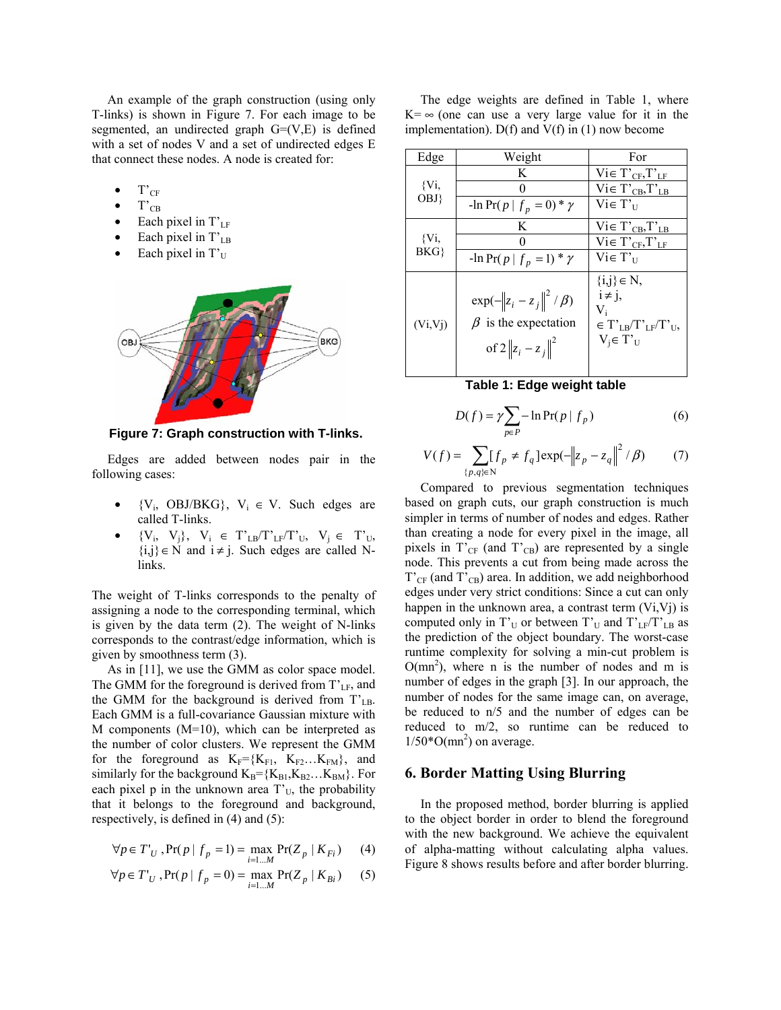An example of the graph construction (using only T-links) is shown in Figure 7. For each image to be segmented, an undirected graph  $G=(V,E)$  is defined with a set of nodes V and a set of undirected edges E that connect these nodes. A node is created for:

- $T'_{CF}$
- $T_{CB}$
- Each pixel in  $T'_{LF}$
- Each pixel in  $T_{LB}$
- Each pixel in  $T_U$



 **Figure 7: Graph construction with T-links.** 

Edges are added between nodes pair in the following cases:

- ${V_i, \text{OBJ/BKG}}$ ,  $V_i \in V$ . Such edges are called T-links.
- ${V_i, V_j}, V_i \in T'_{LB}/T'_{LF}/T'_{U}, V_i \in T'_{U}$  ${i,j} \in N$  and  $i \neq j$ . Such edges are called Nlinks.

The weight of T-links corresponds to the penalty of assigning a node to the corresponding terminal, which is given by the data term (2). The weight of N-links corresponds to the contrast/edge information, which is given by smoothness term (3).

As in [11], we use the GMM as color space model. The GMM for the foreground is derived from  $T_{LF}$ , and the GMM for the background is derived from  $T_{LB}$ . Each GMM is a full-covariance Gaussian mixture with M components (M=10), which can be interpreted as the number of color clusters. We represent the GMM for the foreground as  $K_F=\{K_{F1}, K_{F2}...K_{FM}\}\$ , and similarly for the background  $K_B = \{K_{B1}, K_{B2} \dots K_{BM}\}.$  For each pixel p in the unknown area  $T_{U}$ , the probability that it belongs to the foreground and background, respectively, is defined in (4) and (5):

$$
\forall p \in T'_{U}, \Pr(p \mid f_{p} = 1) = \max_{i=1...M} \Pr(Z_{p} \mid K_{Fi}) \tag{4}
$$

$$
\forall p \in T'_{U}, \Pr(p \mid f_{p} = 0) = \max_{i=1...M} \Pr(Z_{p} \mid K_{Bi})
$$
 (5)

The edge weights are defined in Table 1, where  $K = \infty$  (one can use a very large value for it in the implementation).  $D(f)$  and  $V(f)$  in (1) now become

| Edge         | Weight                                                                                  | For                                                                                    |
|--------------|-----------------------------------------------------------------------------------------|----------------------------------------------------------------------------------------|
| {Vi,<br>OBJ} | K                                                                                       | $Vi \in T'_{CF}$ , $T'_{LF}$                                                           |
|              | 0                                                                                       | $Vi \in T'_{CB}$ , $T'_{LB}$                                                           |
|              | $-\ln \Pr(p \mid f_p = 0) * \gamma$                                                     | $Vi \in T_{\text{II}}$                                                                 |
| {Vi,<br>BKG  | K                                                                                       | $Vi \in T'_{CB}$ , $T'_{LB}$                                                           |
|              |                                                                                         | $Vi \in T'_{CF}$ , $T'_{LF}$                                                           |
|              | $-\ln \Pr(p \mid f_p = 1) * \gamma$                                                     | $Vi \in T_{\text{II}}$                                                                 |
| (Vi,Vj)      | $\exp(-\ z_i - z_j\ ^2 / \beta)$<br>$\beta$ is the expectation<br>of $2  z_i - z_j  ^2$ | $\{i,j\} \in N$ ,<br>$i \neq j$ ,<br>V,<br>$\in T_{LR}/T_{LF}/T_{UL}$<br>$V_i \in T_U$ |

# **Table 1: Edge weight table**

$$
D(f) = \gamma \sum_{p \in P} -\ln \Pr(p \mid f_p)
$$
 (6)

$$
V(f) = \sum_{\{p,q\} \in \mathbb{N}} [f_p \neq f_q] \exp(-\|z_p - z_q\|^2 / \beta)
$$
 (7)

Compared to previous segmentation techniques based on graph cuts, our graph construction is much simpler in terms of number of nodes and edges. Rather than creating a node for every pixel in the image, all pixels in  $T'_{CF}$  (and  $T'_{CB}$ ) are represented by a single node. This prevents a cut from being made across the  $T'_{CF}$  (and  $T'_{CB}$ ) area. In addition, we add neighborhood edges under very strict conditions: Since a cut can only happen in the unknown area, a contrast term  $(Vi, Vj)$  is computed only in  $T_U$  or between  $T_U$  and  $T_L$ <sup>T</sup> $T_L$ <sub>LB</sub> as the prediction of the object boundary. The worst-case runtime complexity for solving a min-cut problem is  $O(mn^2)$ , where n is the number of nodes and m is number of edges in the graph [3]. In our approach, the number of nodes for the same image can, on average, be reduced to n/5 and the number of edges can be reduced to m/2, so runtime can be reduced to  $1/50*O(mn^2)$  on average.

#### **6. Border Matting Using Blurring**

In the proposed method, border blurring is applied to the object border in order to blend the foreground with the new background. We achieve the equivalent of alpha-matting without calculating alpha values. Figure 8 shows results before and after border blurring.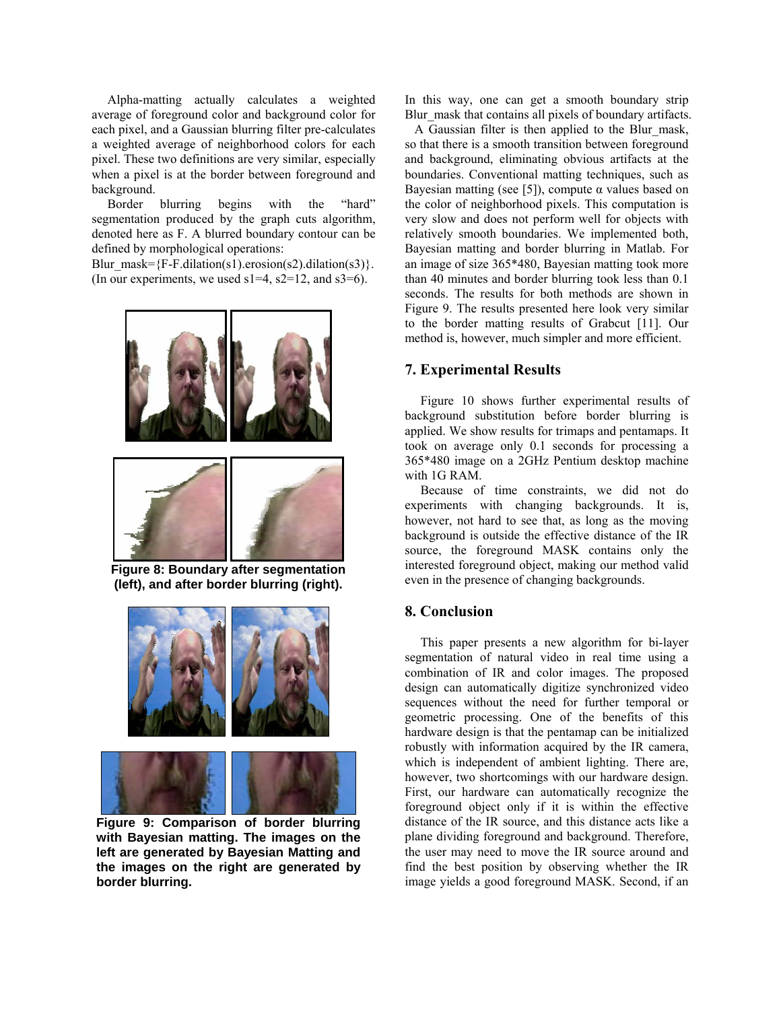Alpha-matting actually calculates a weighted average of foreground color and background color for each pixel, and a Gaussian blurring filter pre-calculates a weighted average of neighborhood colors for each pixel. These two definitions are very similar, especially when a pixel is at the border between foreground and background.

Border blurring begins with the "hard" segmentation produced by the graph cuts algorithm, denoted here as F. A blurred boundary contour can be defined by morphological operations:

Blur\_mask={F-F.dilation(s1).erosion(s2).dilation(s3)}. (In our experiments, we used  $s1=4$ ,  $s2=12$ , and  $s3=6$ ).



**Figure 8: Boundary after segmentation (left), and after border blurring (right).**





 **Figure 9: Comparison of border blurring with Bayesian matting. The images on the left are generated by Bayesian Matting and the images on the right are generated by border blurring.** 

In this way, one can get a smooth boundary strip Blur\_mask that contains all pixels of boundary artifacts.

 A Gaussian filter is then applied to the Blur\_mask, so that there is a smooth transition between foreground and background, eliminating obvious artifacts at the boundaries. Conventional matting techniques, such as Bayesian matting (see [5]), compute  $\alpha$  values based on the color of neighborhood pixels. This computation is very slow and does not perform well for objects with relatively smooth boundaries. We implemented both, Bayesian matting and border blurring in Matlab. For an image of size 365\*480, Bayesian matting took more than 40 minutes and border blurring took less than 0.1 seconds. The results for both methods are shown in Figure 9. The results presented here look very similar to the border matting results of Grabcut [11]. Our method is, however, much simpler and more efficient.

### **7. Experimental Results**

Figure 10 shows further experimental results of background substitution before border blurring is applied. We show results for trimaps and pentamaps. It took on average only 0.1 seconds for processing a 365\*480 image on a 2GHz Pentium desktop machine with 1G RAM.

Because of time constraints, we did not do experiments with changing backgrounds. It is, however, not hard to see that, as long as the moving background is outside the effective distance of the IR source, the foreground MASK contains only the interested foreground object, making our method valid even in the presence of changing backgrounds.

### **8. Conclusion**

This paper presents a new algorithm for bi-layer segmentation of natural video in real time using a combination of IR and color images. The proposed design can automatically digitize synchronized video sequences without the need for further temporal or geometric processing. One of the benefits of this hardware design is that the pentamap can be initialized robustly with information acquired by the IR camera, which is independent of ambient lighting. There are, however, two shortcomings with our hardware design. First, our hardware can automatically recognize the foreground object only if it is within the effective distance of the IR source, and this distance acts like a plane dividing foreground and background. Therefore, the user may need to move the IR source around and find the best position by observing whether the IR image yields a good foreground MASK. Second, if an